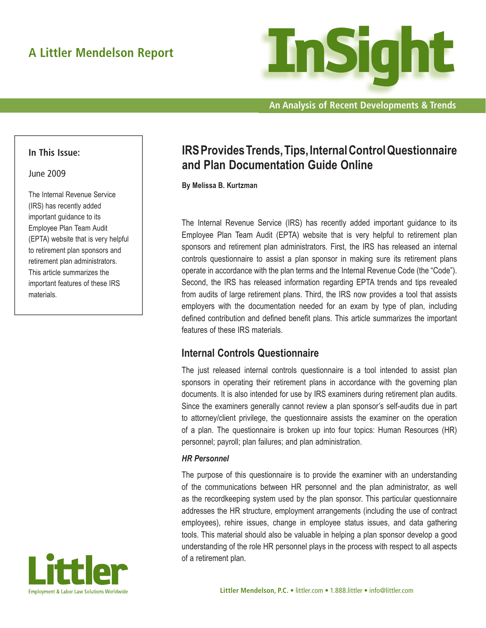

**An Analysis of Recent Developments & Trends**

### **In This Issue:**

#### June 2009

The Internal Revenue Service (IRS) has recently added important guidance to its Employee Plan Team Audit (EPTA) website that is very helpful to retirement plan sponsors and retirement plan administrators. This article summarizes the important features of these IRS materials.



# **IRS Provides Trends, Tips, Internal Control Questionnaire and Plan Documentation Guide Online**

**By Melissa B. Kurtzman**

The Internal Revenue Service (IRS) has recently added important guidance to its Employee Plan Team Audit (EPTA) website that is very helpful to retirement plan sponsors and retirement plan administrators. First, the IRS has released an internal controls questionnaire to assist a plan sponsor in making sure its retirement plans operate in accordance with the plan terms and the Internal Revenue Code (the "Code"). Second, the IRS has released information regarding EPTA trends and tips revealed from audits of large retirement plans. Third, the IRS now provides a tool that assists employers with the documentation needed for an exam by type of plan, including defined contribution and defined benefit plans. This article summarizes the important features of these IRS materials.

## **Internal Controls Questionnaire**

The just released internal controls questionnaire is a tool intended to assist plan sponsors in operating their retirement plans in accordance with the governing plan documents. It is also intended for use by IRS examiners during retirement plan audits. Since the examiners generally cannot review a plan sponsor's self-audits due in part to attorney/client privilege, the questionnaire assists the examiner on the operation of a plan. The questionnaire is broken up into four topics: Human Resources (HR) personnel; payroll; plan failures; and plan administration.

#### *HR Personnel*

The purpose of this questionnaire is to provide the examiner with an understanding of the communications between HR personnel and the plan administrator, as well as the recordkeeping system used by the plan sponsor. This particular questionnaire addresses the HR structure, employment arrangements (including the use of contract employees), rehire issues, change in employee status issues, and data gathering tools. This material should also be valuable in helping a plan sponsor develop a good understanding of the role HR personnel plays in the process with respect to all aspects of a retirement plan.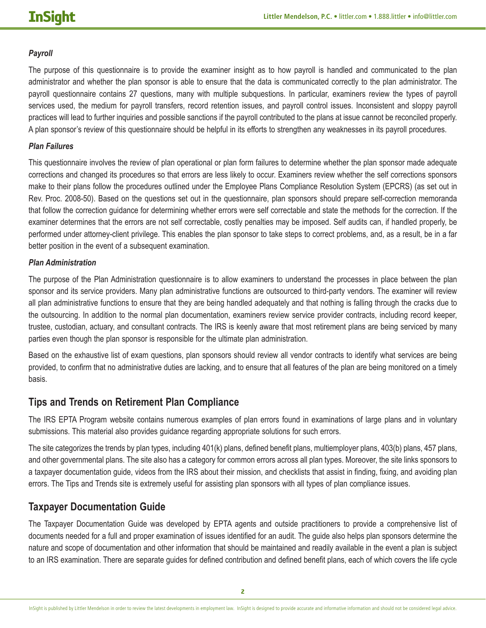#### *Payroll*

The purpose of this questionnaire is to provide the examiner insight as to how payroll is handled and communicated to the plan administrator and whether the plan sponsor is able to ensure that the data is communicated correctly to the plan administrator. The payroll questionnaire contains 27 questions, many with multiple subquestions. In particular, examiners review the types of payroll services used, the medium for payroll transfers, record retention issues, and payroll control issues. Inconsistent and sloppy payroll practices will lead to further inquiries and possible sanctions if the payroll contributed to the plans at issue cannot be reconciled properly. A plan sponsor's review of this questionnaire should be helpful in its efforts to strengthen any weaknesses in its payroll procedures.

#### *Plan Failures*

This questionnaire involves the review of plan operational or plan form failures to determine whether the plan sponsor made adequate corrections and changed its procedures so that errors are less likely to occur. Examiners review whether the self corrections sponsors make to their plans follow the procedures outlined under the Employee Plans Compliance Resolution System (EPCRS) (as set out in Rev. Proc. 2008-50). Based on the questions set out in the questionnaire, plan sponsors should prepare self-correction memoranda that follow the correction guidance for determining whether errors were self correctable and state the methods for the correction. If the examiner determines that the errors are not self correctable, costly penalties may be imposed. Self audits can, if handled properly, be performed under attorney-client privilege. This enables the plan sponsor to take steps to correct problems, and, as a result, be in a far better position in the event of a subsequent examination.

#### *Plan Administration*

The purpose of the Plan Administration questionnaire is to allow examiners to understand the processes in place between the plan sponsor and its service providers. Many plan administrative functions are outsourced to third-party vendors. The examiner will review all plan administrative functions to ensure that they are being handled adequately and that nothing is falling through the cracks due to the outsourcing. In addition to the normal plan documentation, examiners review service provider contracts, including record keeper, trustee, custodian, actuary, and consultant contracts. The IRS is keenly aware that most retirement plans are being serviced by many parties even though the plan sponsor is responsible for the ultimate plan administration.

Based on the exhaustive list of exam questions, plan sponsors should review all vendor contracts to identify what services are being provided, to confirm that no administrative duties are lacking, and to ensure that all features of the plan are being monitored on a timely basis.

## **Tips and Trends on Retirement Plan Compliance**

The IRS EPTA Program website contains numerous examples of plan errors found in examinations of large plans and in voluntary submissions. This material also provides guidance regarding appropriate solutions for such errors.

The site categorizes the trends by plan types, including 401(k) plans, defined benefit plans, multiemployer plans, 403(b) plans, 457 plans, and other governmental plans. The site also has a category for common errors across all plan types. Moreover, the site links sponsors to a taxpayer documentation guide, videos from the IRS about their mission, and checklists that assist in finding, fixing, and avoiding plan errors. The Tips and Trends site is extremely useful for assisting plan sponsors with all types of plan compliance issues.

## **Taxpayer Documentation Guide**

The Taxpayer Documentation Guide was developed by EPTA agents and outside practitioners to provide a comprehensive list of documents needed for a full and proper examination of issues identified for an audit. The guide also helps plan sponsors determine the nature and scope of documentation and other information that should be maintained and readily available in the event a plan is subject to an IRS examination. There are separate guides for defined contribution and defined benefit plans, each of which covers the life cycle